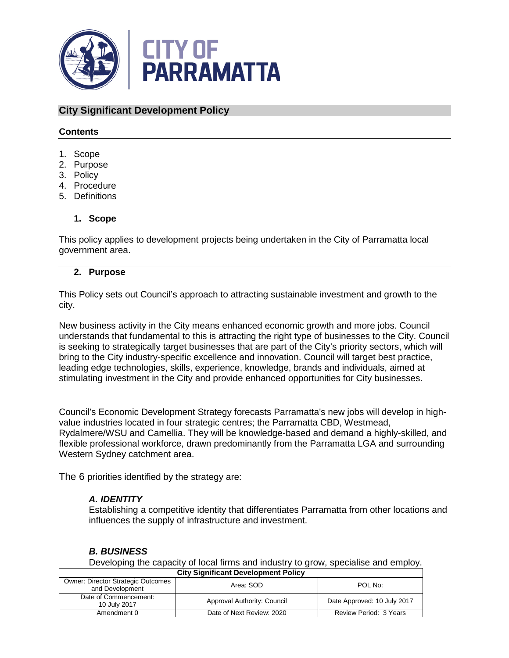

# **City Significant Development Policy**

#### **Contents**

- 1. Scope
- 2. Purpose
- 3. Policy
- 4. Procedure
- 5. Definitions

#### **1. Scope**

This policy applies to development projects being undertaken in the City of Parramatta local government area.

### **2. Purpose**

This Policy sets out Council's approach to attracting sustainable investment and growth to the city.

New business activity in the City means enhanced economic growth and more jobs. Council understands that fundamental to this is attracting the right type of businesses to the City. Council is seeking to strategically target businesses that are part of the City's priority sectors, which will bring to the City industry-specific excellence and innovation. Council will target best practice, leading edge technologies, skills, experience, knowledge, brands and individuals, aimed at stimulating investment in the City and provide enhanced opportunities for City businesses.

Council's Economic Development Strategy forecasts Parramatta's new jobs will develop in highvalue industries located in four strategic centres; the Parramatta CBD, Westmead, Rydalmere/WSU and Camellia. They will be knowledge-based and demand a highly-skilled, and flexible professional workforce, drawn predominantly from the Parramatta LGA and surrounding Western Sydney catchment area.

The 6 priorities identified by the strategy are:

# *A. IDENTITY*

Establishing a competitive identity that differentiates Parramatta from other locations and influences the supply of infrastructure and investment.

# *B. BUSINESS*

**City Significant Development Policy**  Developing the capacity of local firms and industry to grow, specialise and employ.

| 5.1                                                          |                             |                             |  |
|--------------------------------------------------------------|-----------------------------|-----------------------------|--|
| <b>Owner: Director Strategic Outcomes</b><br>and Development | Area: SOD                   | POL No:                     |  |
| Date of Commencement:<br>10 July 2017                        | Approval Authority: Council | Date Approved: 10 July 2017 |  |
| Amendment 0                                                  | Date of Next Review: 2020   | Review Period: 3 Years      |  |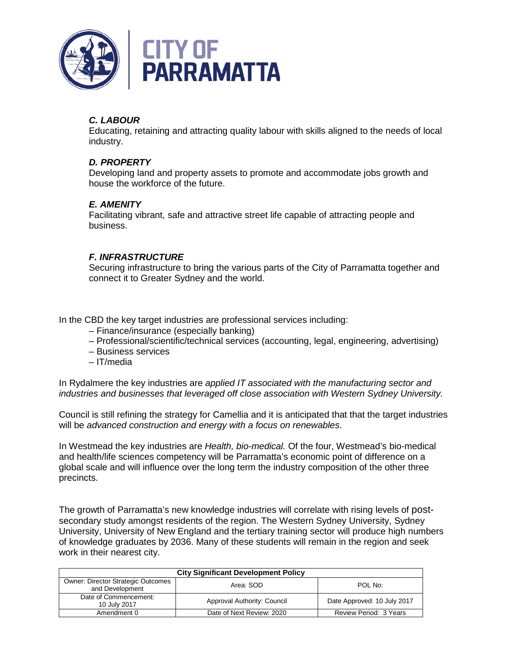

# *C. LABOUR*

Educating, retaining and attracting quality labour with skills aligned to the needs of local industry.

# *D. PROPERTY*

Developing land and property assets to promote and accommodate jobs growth and house the workforce of the future.

# *E. AMENITY*

Facilitating vibrant, safe and attractive street life capable of attracting people and business.

# *F. INFRASTRUCTURE*

Securing infrastructure to bring the various parts of the City of Parramatta together and connect it to Greater Sydney and the world.

In the CBD the key target industries are professional services including:

- Finance/insurance (especially banking)
- Professional/scientific/technical services (accounting, legal, engineering, advertising)
- Business services
- IT/media

In Rydalmere the key industries are *applied IT associated with the manufacturing sector and industries and businesses that leveraged off close association with Western Sydney University.*

Council is still refining the strategy for Camellia and it is anticipated that that the target industries will be *advanced construction and energy with a focus on renewables*.

In Westmead the key industries are *Health, bio-medical.* Of the four, Westmead's bio-medical and health/life sciences competency will be Parramatta's economic point of difference on a global scale and will influence over the long term the industry composition of the other three precincts.

The growth of Parramatta's new knowledge industries will correlate with rising levels of postsecondary study amongst residents of the region. The Western Sydney University, Sydney University, University of New England and the tertiary training sector will produce high numbers of knowledge graduates by 2036. Many of these students will remain in the region and seek work in their nearest city.

| <b>City Significant Development Policy</b>                   |                             |                             |  |  |
|--------------------------------------------------------------|-----------------------------|-----------------------------|--|--|
| <b>Owner: Director Strategic Outcomes</b><br>and Development | Area: SOD                   | POL No:                     |  |  |
| Date of Commencement:<br>10 July 2017                        | Approval Authority: Council | Date Approved: 10 July 2017 |  |  |
| Amendment 0                                                  | Date of Next Review: 2020   | Review Period: 3 Years      |  |  |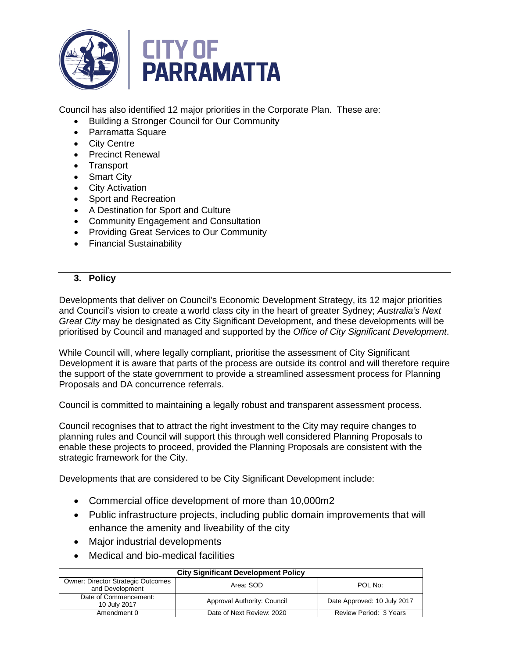

Council has also identified 12 major priorities in the Corporate Plan. These are:

- Building a Stronger Council for Our Community
- Parramatta Square
- City Centre
- Precinct Renewal
- Transport
- Smart City
- City Activation
- Sport and Recreation
- A Destination for Sport and Culture
- Community Engagement and Consultation
- Providing Great Services to Our Community
- Financial Sustainability

# **3. Policy**

Developments that deliver on Council's Economic Development Strategy, its 12 major priorities and Council's vision to create a world class city in the heart of greater Sydney; *Australia's Next Great City* may be designated as City Significant Development, and these developments will be prioritised by Council and managed and supported by the *Office of City Significant Development*.

While Council will, where legally compliant, prioritise the assessment of City Significant Development it is aware that parts of the process are outside its control and will therefore require the support of the state government to provide a streamlined assessment process for Planning Proposals and DA concurrence referrals.

Council is committed to maintaining a legally robust and transparent assessment process.

Council recognises that to attract the right investment to the City may require changes to planning rules and Council will support this through well considered Planning Proposals to enable these projects to proceed, provided the Planning Proposals are consistent with the strategic framework for the City.

Developments that are considered to be City Significant Development include:

- Commercial office development of more than 10,000m2
- Public infrastructure projects, including public domain improvements that will enhance the amenity and liveability of the city
- Major industrial developments
- Medical and bio-medical facilities

| <b>City Significant Development Policy</b>                   |                             |                             |  |
|--------------------------------------------------------------|-----------------------------|-----------------------------|--|
| <b>Owner: Director Strategic Outcomes</b><br>and Development | Area: SOD                   | POL No:                     |  |
| Date of Commencement:<br>10 July 2017                        | Approval Authority: Council | Date Approved: 10 July 2017 |  |
| Amendment 0                                                  | Date of Next Review: 2020   | Review Period: 3 Years      |  |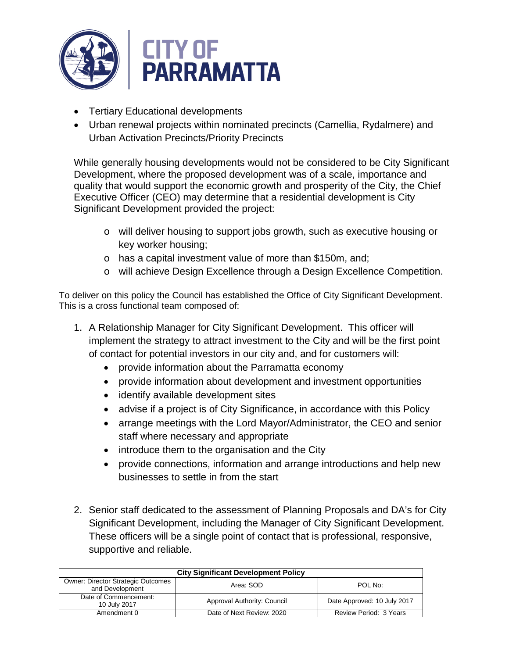

- Tertiary Educational developments
- Urban renewal projects within nominated precincts (Camellia, Rydalmere) and Urban Activation Precincts/Priority Precincts

While generally housing developments would not be considered to be City Significant Development, where the proposed development was of a scale, importance and quality that would support the economic growth and prosperity of the City, the Chief Executive Officer (CEO) may determine that a residential development is City Significant Development provided the project:

- o will deliver housing to support jobs growth, such as executive housing or key worker housing;
- o has a capital investment value of more than \$150m, and;
- o will achieve Design Excellence through a Design Excellence Competition.

To deliver on this policy the Council has established the Office of City Significant Development. This is a cross functional team composed of:

- 1. A Relationship Manager for City Significant Development. This officer will implement the strategy to attract investment to the City and will be the first point of contact for potential investors in our city and, and for customers will:
	- provide information about the Parramatta economy
	- provide information about development and investment opportunities
	- identify available development sites
	- advise if a project is of City Significance, in accordance with this Policy
	- arrange meetings with the Lord Mayor/Administrator, the CEO and senior staff where necessary and appropriate
	- introduce them to the organisation and the City
	- provide connections, information and arrange introductions and help new businesses to settle in from the start
- 2. Senior staff dedicated to the assessment of Planning Proposals and DA's for City Significant Development, including the Manager of City Significant Development. These officers will be a single point of contact that is professional, responsive, supportive and reliable.

| <b>City Significant Development Policy</b>                   |                             |                             |  |  |
|--------------------------------------------------------------|-----------------------------|-----------------------------|--|--|
| <b>Owner: Director Strategic Outcomes</b><br>and Development | Area: SOD                   | POL No:                     |  |  |
| Date of Commencement:<br>10 July 2017                        | Approval Authority: Council | Date Approved: 10 July 2017 |  |  |
| Amendment 0                                                  | Date of Next Review: 2020   | Review Period: 3 Years      |  |  |